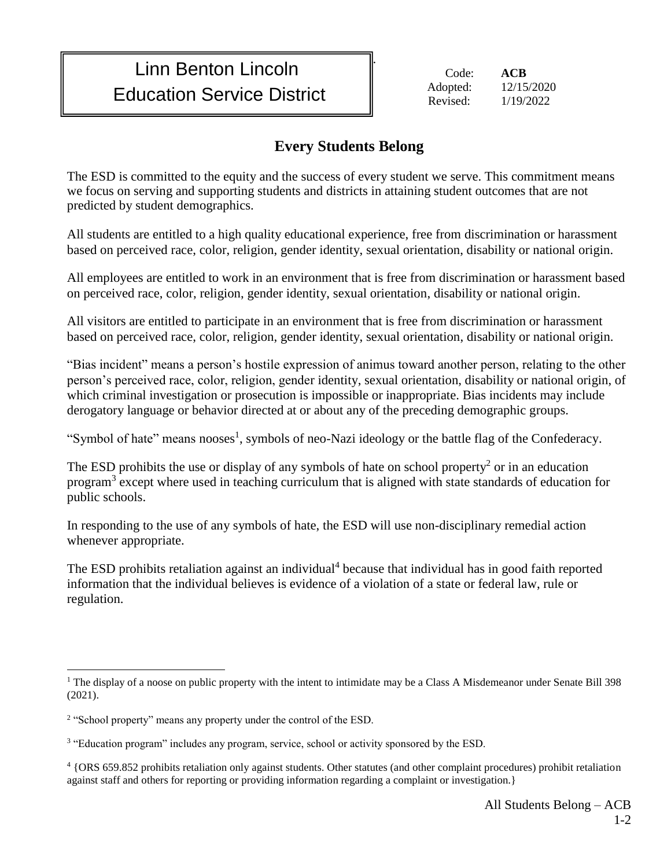## Linn Benton Lincoln Education Service District

 Code: **ACB** Adopted: 12/15/2020 Revised: 1/19/2022

## **Every Students Belong**

.

The ESD is committed to the equity and the success of every student we serve. This commitment means we focus on serving and supporting students and districts in attaining student outcomes that are not predicted by student demographics.

All students are entitled to a high quality educational experience, free from discrimination or harassment based on perceived race, color, religion, gender identity, sexual orientation, disability or national origin.

All employees are entitled to work in an environment that is free from discrimination or harassment based on perceived race, color, religion, gender identity, sexual orientation, disability or national origin.

All visitors are entitled to participate in an environment that is free from discrimination or harassment based on perceived race, color, religion, gender identity, sexual orientation, disability or national origin.

"Bias incident" means a person's hostile expression of animus toward another person, relating to the other person's perceived race, color, religion, gender identity, sexual orientation, disability or national origin, of which criminal investigation or prosecution is impossible or inappropriate. Bias incidents may include derogatory language or behavior directed at or about any of the preceding demographic groups.

"Symbol of hate" means nooses<sup>1</sup>, symbols of neo-Nazi ideology or the battle flag of the Confederacy.

The ESD prohibits the use or display of any symbols of hate on school property<sup>2</sup> or in an education program<sup>3</sup> except where used in teaching curriculum that is aligned with state standards of education for public schools.

In responding to the use of any symbols of hate, the ESD will use non-disciplinary remedial action whenever appropriate.

The ESD prohibits retaliation against an individual<sup>4</sup> because that individual has in good faith reported information that the individual believes is evidence of a violation of a state or federal law, rule or regulation.

 $\overline{a}$ <sup>1</sup> The display of a noose on public property with the intent to intimidate may be a Class A Misdemeanor under Senate Bill 398 (2021).

<sup>&</sup>lt;sup>2</sup> "School property" means any property under the control of the ESD.

<sup>&</sup>lt;sup>3</sup> "Education program" includes any program, service, school or activity sponsored by the ESD.

<sup>4</sup> {ORS 659.852 prohibits retaliation only against students. Other statutes (and other complaint procedures) prohibit retaliation against staff and others for reporting or providing information regarding a complaint or investigation.}